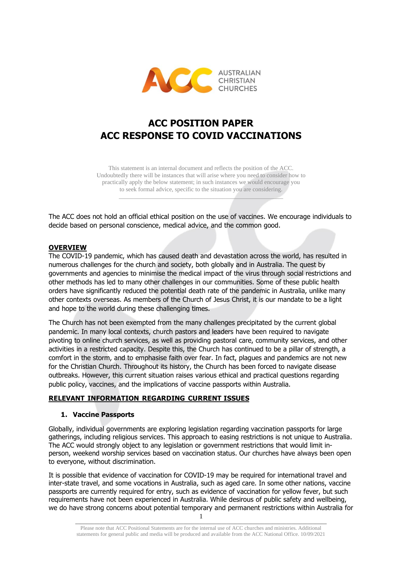

# **ACC POSITION PAPER ACC RESPONSE TO COVID VACCINATIONS**

This statement is an internal document and reflects the position of the ACC. Undoubtedly there will be instances that will arise where you need to consider how to practically apply the below statement; in such instances we would encourage you to seek formal advice, specific to the situation you are considering.

 $\mathcal{L}$  , and the contract of the contract of the contract of the contract of the contract of the contract of the contract of the contract of the contract of the contract of the contract of the contract of the contract o

The ACC does not hold an official ethical position on the use of vaccines. We encourage individuals to decide based on personal conscience, medical advice, and the common good.

#### **OVERVIEW**

The COVID-19 pandemic, which has caused death and devastation across the world, has resulted in numerous challenges for the church and society, both globally and in Australia. The quest by governments and agencies to minimise the medical impact of the virus through social restrictions and other methods has led to many other challenges in our communities. Some of these public health orders have significantly reduced the potential death rate of the pandemic in Australia, unlike many other contexts overseas. As members of the Church of Jesus Christ, it is our mandate to be a light and hope to the world during these challenging times.

The Church has not been exempted from the many challenges precipitated by the current global pandemic. In many local contexts, church pastors and leaders have been required to navigate pivoting to online church services, as well as providing pastoral care, community services, and other activities in a restricted capacity. Despite this, the Church has continued to be a pillar of strength, a comfort in the storm, and to emphasise faith over fear. In fact, plagues and pandemics are not new for the Christian Church. Throughout its history, the Church has been forced to navigate disease outbreaks. However, this current situation raises various ethical and practical questions regarding public policy, vaccines, and the implications of vaccine passports within Australia.

#### **RELEVANT INFORMATION REGARDING CURRENT ISSUES**

#### **1. Vaccine Passports**

Globally, individual governments are exploring legislation regarding vaccination passports for large gatherings, including religious services. This approach to easing restrictions is not unique to Australia. The ACC would strongly object to any legislation or government restrictions that would limit inperson, weekend worship services based on vaccination status. Our churches have always been open to everyone, without discrimination.

It is possible that evidence of vaccination for COVID-19 may be required for international travel and inter-state travel, and some vocations in Australia, such as aged care. In some other nations, vaccine passports are currently required for entry, such as evidence of vaccination for yellow fever, but such requirements have not been experienced in Australia. While desirous of public safety and wellbeing, we do have strong concerns about potential temporary and permanent restrictions within Australia for

Please note that ACC Positional Statements are for the internal use of ACC churches and ministries. Additional statements for general public and media will be produced and available from the ACC National Office. 10/09/2021

 $\_$  ,  $\_$  ,  $\_$  ,  $\_$  ,  $\_$  ,  $\_$  ,  $\_$  ,  $\_$  ,  $\_$  ,  $\_$  ,  $\_$  ,  $\_$  ,  $\_$  ,  $\_$  ,  $\_$  ,  $\_$  ,  $\_$  ,  $\_$  ,  $\_$  ,  $\_$  ,  $\_$  ,  $\_$  ,  $\_$  ,  $\_$  ,  $\_$  ,  $\_$  ,  $\_$  ,  $\_$  ,  $\_$  ,  $\_$  ,  $\_$  ,  $\_$  ,  $\_$  ,  $\_$  ,  $\_$  ,  $\_$  ,  $\_$  , 1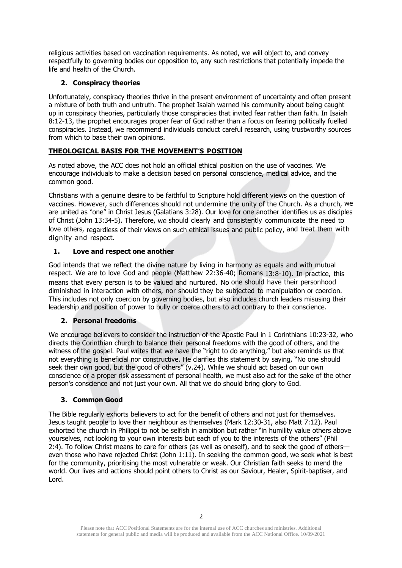religious activities based on vaccination requirements. As noted, we will object to, and convey respectfully to governing bodies our opposition to, any such restrictions that potentially impede the life and health of the Church.

## **2. Conspiracy theories**

Unfortunately, conspiracy theories thrive in the present environment of uncertainty and often present a mixture of both truth and untruth. The prophet Isaiah warned his community about being caught up in conspiracy theories, particularly those conspiracies that invited fear rather than faith. In Isaiah 8:12-13, the prophet encourages proper fear of God rather than a focus on fearing politically fuelled conspiracies. Instead, we recommend individuals conduct careful research, using trustworthy sources from which to base their own opinions.

# **THEOLOGICAL BASIS FOR THE MOVEMENT S POSITION**

As noted above, the ACC does not hold an official ethical position on the use of vaccines. We encourage individuals to make a decision based on personal conscience, medical advice, and the common good.

Christians with a genuine desire to be faithful to Scripture hold different views on the question of vaccines. However, such differences should not undermine the unity of the Church. As a church, we are united as "one" in Christ Jesus (Galatians 3:28). Our love for one another identifies us as disciples of Christ (John 13:34-5). Therefore, we should clearly and consistently communicate the need to love others, regardless of their views on such ethical issues and public policy, and treat them with dignity and respect.

## **1. Love and respect one another**

God intends that we reflect the divine nature by living in harmony as equals and with mutual respect. We are to love God and people (Matthew 22:36-40; Romans 13:8-10). In practice, this means that every person is to be valued and nurtured. No one should have their personhood diminished in interaction with others, nor should they be subjected to manipulation or coercion. This includes not only coercion by governing bodies, but also includes church leaders misusing their leadership and position of power to bully or coerce others to act contrary to their conscience.

## **2. Personal freedoms**

We encourage believers to consider the instruction of the Apostle Paul in 1 Corinthians 10:23-32, who directs the Corinthian church to balance their personal freedoms with the good of others, and the witness of the gospel. Paul writes that we have the "right to do anything," but also reminds us that not everything is beneficial nor constructive. He clarifies this statement by saying, "No one should seek their own good, but the good of others" (v.24). While we should act based on our own conscience or a proper risk assessment of personal health, we must also act for the sake of the other person's conscience and not just your own. All that we do should bring glory to God.

## **3. Common Good**

The Bible regularly exhorts believers to act for the benefit of others and not just for themselves. Jesus taught people to love their neighbour as themselves (Mark 12:30-31, also Matt 7:12). Paul exhorted the church in Philippi to not be selfish in ambition but rather "in humility value others above yourselves, not looking to your own interests but each of you to the interests of the others" (Phil 2:4). To follow Christ means to care for others (as well as oneself), and to seek the good of others even those who have rejected Christ (John 1:11). In seeking the common good, we seek what is best for the community, prioritising the most vulnerable or weak. Our Christian faith seeks to mend the world. Our lives and actions should point others to Christ as our Saviour, Healer, Spirit-baptiser, and Lord.

 $\_$  ,  $\_$  ,  $\_$  ,  $\_$  ,  $\_$  ,  $\_$  ,  $\_$  ,  $\_$  ,  $\_$  ,  $\_$  ,  $\_$  ,  $\_$  ,  $\_$  ,  $\_$  ,  $\_$  ,  $\_$  ,  $\_$  ,  $\_$  ,  $\_$  ,  $\_$  ,  $\_$  ,  $\_$  ,  $\_$  ,  $\_$  ,  $\_$  ,  $\_$  ,  $\_$  ,  $\_$  ,  $\_$  ,  $\_$  ,  $\_$  ,  $\_$  ,  $\_$  ,  $\_$  ,  $\_$  ,  $\_$  ,  $\_$  , 2

Please note that ACC Positional Statements are for the internal use of ACC churches and ministries. Additional statements for general public and media will be produced and available from the ACC National Office. 10/09/2021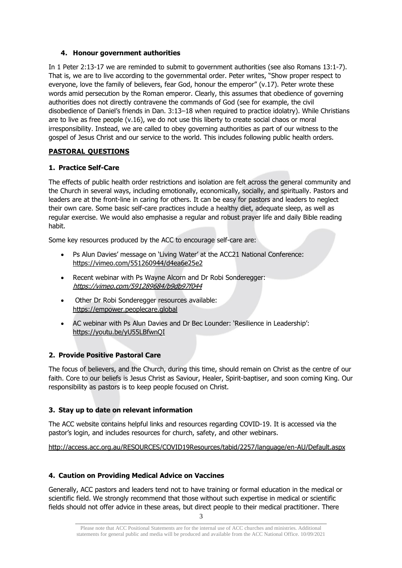#### **4. Honour government authorities**

In 1 Peter 2:13-17 we are reminded to submit to government authorities (see also Romans 13:1-7). That is, we are to live according to the governmental order. Peter writes, "Show proper respect to everyone, love the family of believers, fear God, honour the emperor" (v.17). Peter wrote these words amid persecution by the Roman emperor. Clearly, this assumes that obedience of governing authorities does not directly contravene the commands of God (see for example, the civil disobedience of Daniel's friends in Dan. 3:13–18 when required to practice idolatry). While Christians are to live as free people (v.16), we do not use this liberty to create social chaos or moral irresponsibility. Instead, we are called to obey governing authorities as part of our witness to the gospel of Jesus Christ and our service to the world. This includes following public health orders.

## **PASTORAL QUESTIONS**

#### **1. Practice Self-Care**

The effects of public health order restrictions and isolation are felt across the general community and the Church in several ways, including emotionally, economically, socially, and spiritually. Pastors and leaders are at the front-line in caring for others. It can be easy for pastors and leaders to neglect their own care. Some basic self-care practices include a healthy diet, adequate sleep, as well as regular exercise. We would also emphasise a regular and robust prayer life and daily Bible reading habit.

Some key resources produced by the ACC to encourage self-care are:

- Ps Alun Davies' message on 'Living Water' at the ACC21 National Conference: <https://vimeo.com/551260944/d4ea6e25e2>
- Recent webinar with Ps Wayne Alcorn and Dr Robi Sonderegger: <https://vimeo.com/591289684/b9db97f044>
- Other Dr Robi Sonderegger resources available: [https://empower.peoplecare.global](https://empower.peoplecare.global/)
- AC webinar with Ps Alun Davies and Dr Bec Lounder: 'Resilience in Leadership': <https://youtu.be/yU55LBfwnQI>

## **2. Provide Positive Pastoral Care**

The focus of believers, and the Church, during this time, should remain on Christ as the centre of our faith. Core to our beliefs is Jesus Christ as Saviour, Healer, Spirit-baptiser, and soon coming King. Our responsibility as pastors is to keep people focused on Christ.

## **3. Stay up to date on relevant information**

The ACC website contains helpful links and resources regarding COVID-19. It is accessed via the pastor's login, and includes resources for church, safety, and other webinars.

<http://access.acc.org.au/RESOURCES/COVID19Resources/tabid/2257/language/en-AU/Default.aspx>

## **4. Caution on Providing Medical Advice on Vaccines**

Generally, ACC pastors and leaders tend not to have training or formal education in the medical or scientific field. We strongly recommend that those without such expertise in medical or scientific fields should not offer advice in these areas, but direct people to their medical practitioner. There